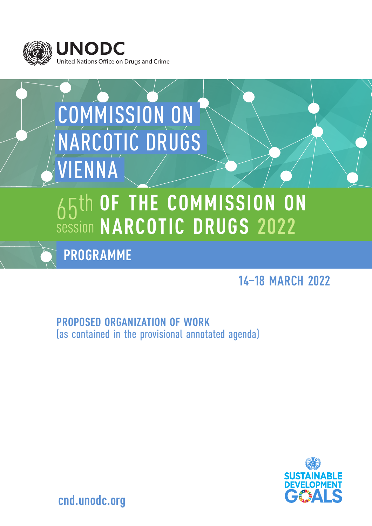

# COMMISSION ON NARCOTIC DRUGS VIENNA

# 65th session **OF THE COMMISSION ON NARCOTIC DRUGS 2022**

**PROGRAMME**

# **14–18 MARCH 2022**

**PROPOSED ORGANIZATION OF WORK**  (as contained in the provisional annotated agenda)



**cnd.unodc.org**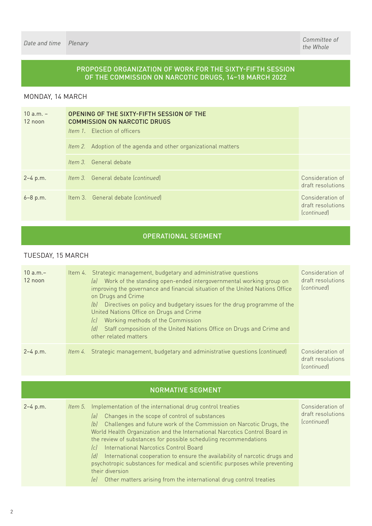## PROPOSED ORGANIZATION OF WORK FOR THE SIXTY-FIFTH SESSION OF THE COMMISSION ON NARCOTIC DRUGS, 14–18 MARCH 2022

## MONDAY, 14 MARCH

| $10 a.m. -$<br>$12$ noon | OPENING OF THE SIXTY-FIFTH SESSION OF THE<br><b>COMMISSION ON NARCOTIC DRUGS</b><br><i>Item 1.</i> Election of officers |                                                           |
|--------------------------|-------------------------------------------------------------------------------------------------------------------------|-----------------------------------------------------------|
|                          | Item 2. Adoption of the agenda and other organizational matters                                                         |                                                           |
|                          | <i>Item 3.</i> General debate                                                                                           |                                                           |
| $2 - 4$ p.m.             | <i>Item 3.</i> General debate (continued)                                                                               | Consideration of<br>draft resolutions                     |
| $6 - 8 p.m.$             | Item 3. General debate (continued)                                                                                      | Consideration of<br>draft resolutions<br><i>continued</i> |

## OPERATIONAL SEGMENT

## TUESDAY, 15 MARCH

| $10 a.m. -$<br>12 noon | Item 4. Strategic management, budgetary and administrative questions<br>Work of the standing open-ended intergovernmental working group on<br>lal<br>improving the governance and financial situation of the United Nations Office<br>on Drugs and Crime<br>Directives on policy and budgetary issues for the drug programme of the<br>lbl<br>United Nations Office on Drugs and Crime<br>Working methods of the Commission<br>lc]<br>Staff composition of the United Nations Office on Drugs and Crime and<br>ldl<br>other related matters | Consideration of<br>draft resolutions<br>(continued)      |
|------------------------|---------------------------------------------------------------------------------------------------------------------------------------------------------------------------------------------------------------------------------------------------------------------------------------------------------------------------------------------------------------------------------------------------------------------------------------------------------------------------------------------------------------------------------------------|-----------------------------------------------------------|
| $2 - 4$ p.m.           | Item 4. Strategic management, budgetary and administrative questions (continued)                                                                                                                                                                                                                                                                                                                                                                                                                                                            | Consideration of<br>draft resolutions<br><i>continued</i> |

| <b>NORMATIVE SEGMENT</b> |  |                                                                                                                                                                                                                                                                                                                                                                                                                                                                                                                                                                                                                                                                                                     |                                                      |  |
|--------------------------|--|-----------------------------------------------------------------------------------------------------------------------------------------------------------------------------------------------------------------------------------------------------------------------------------------------------------------------------------------------------------------------------------------------------------------------------------------------------------------------------------------------------------------------------------------------------------------------------------------------------------------------------------------------------------------------------------------------------|------------------------------------------------------|--|
| $2 - 4$ p.m.             |  | <i>Item 5.</i> Implementation of the international drug control treaties<br>Changes in the scope of control of substances<br>lal<br>Challenges and future work of the Commission on Narcotic Drugs, the<br> b <br>World Health Organization and the International Narcotics Control Board in<br>the review of substances for possible scheduling recommendations<br>International Narcotics Control Board<br> c <br>International cooperation to ensure the availability of narcotic drugs and<br>$\lceil d \rceil$<br>psychotropic substances for medical and scientific purposes while preventing<br>their diversion<br>Other matters arising from the international drug control treaties<br>lel | Consideration of<br>draft resolutions<br>(continued) |  |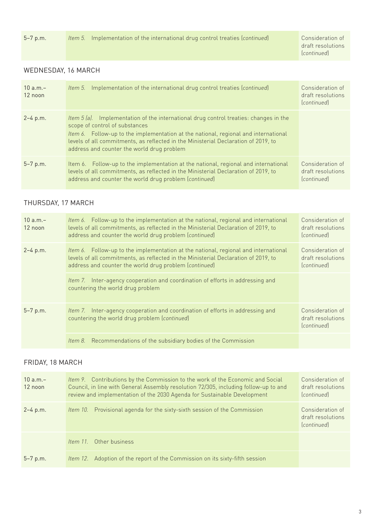draft resolutions (*continued*)

## WEDNESDAY, 16 MARCH

| $10 a.m. -$<br>12 noon | <i>Item 5.</i> Implementation of the international drug control treaties (continued)                                                                                                                                                                                                                                                                      | Consideration of<br>draft resolutions<br><i>continued</i> |
|------------------------|-----------------------------------------------------------------------------------------------------------------------------------------------------------------------------------------------------------------------------------------------------------------------------------------------------------------------------------------------------------|-----------------------------------------------------------|
| $2 - 4$ p.m.           | <i>Item 5 (a).</i> Implementation of the international drug control treaties: changes in the<br>scope of control of substances<br>Item 6. Follow-up to the implementation at the national, regional and international<br>levels of all commitments, as reflected in the Ministerial Declaration of 2019, to<br>address and counter the world drug problem |                                                           |
| $5 - 7 p.m.$           | Item 6. Follow-up to the implementation at the national, regional and international<br>levels of all commitments, as reflected in the Ministerial Declaration of 2019, to<br>address and counter the world drug problem (continued)                                                                                                                       | Consideration of<br>draft resolutions<br><i>continued</i> |

# THURSDAY, 17 MARCH

| $10 a.m. -$<br>12 noon | Item 6. Follow-up to the implementation at the national, regional and international<br>levels of all commitments, as reflected in the Ministerial Declaration of 2019, to<br>address and counter the world drug problem (continued) | Consideration of<br>draft resolutions<br><i>continued</i> |
|------------------------|-------------------------------------------------------------------------------------------------------------------------------------------------------------------------------------------------------------------------------------|-----------------------------------------------------------|
| $2 - 4$ p.m.           | Item 6. Follow-up to the implementation at the national, regional and international<br>levels of all commitments, as reflected in the Ministerial Declaration of 2019, to<br>address and counter the world drug problem (continued) | Consideration of<br>draft resolutions<br>(continued)      |
|                        | Item 7. Inter-agency cooperation and coordination of efforts in addressing and<br>countering the world drug problem                                                                                                                 |                                                           |
| $5 - 7$ p.m.           | Item 7. Inter-agency cooperation and coordination of efforts in addressing and<br>countering the world drug problem (continued)                                                                                                     | Consideration of<br>draft resolutions<br>(continued)      |
|                        | Recommendations of the subsidiary bodies of the Commission<br>ltem 8.                                                                                                                                                               |                                                           |

# FRIDAY, 18 MARCH

| $10 a.m. -$<br>12 noon | Item 9. Contributions by the Commission to the work of the Economic and Social<br>Council, in line with General Assembly resolution 72/305, including follow-up to and<br>review and implementation of the 2030 Agenda for Sustainable Development | Consideration of<br>draft resolutions<br>(continued) |
|------------------------|----------------------------------------------------------------------------------------------------------------------------------------------------------------------------------------------------------------------------------------------------|------------------------------------------------------|
| $2 - 4$ p.m.           | Item 10. Provisional agenda for the sixty-sixth session of the Commission                                                                                                                                                                          | Consideration of<br>draft resolutions<br>(continued) |
|                        | Other business<br>Item $11$                                                                                                                                                                                                                        |                                                      |
| $5 - 7$ p.m.           | Adoption of the report of the Commission on its sixty-fifth session<br>Item $12.$                                                                                                                                                                  |                                                      |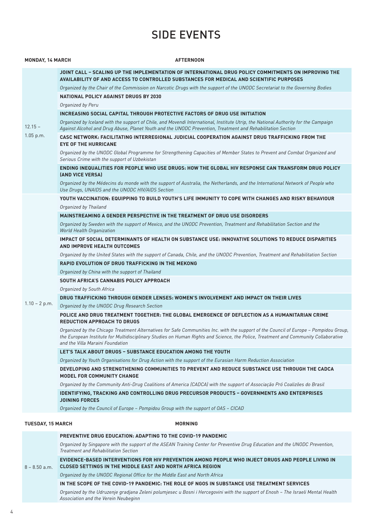# SIDE EVENTS

| <b>MONDAY, 14 MARCH</b>  | <b>AFTERNOON</b>                                                                                                                                                                                                                                                                                                 |
|--------------------------|------------------------------------------------------------------------------------------------------------------------------------------------------------------------------------------------------------------------------------------------------------------------------------------------------------------|
|                          | JOINT CALL - SCALING UP THE IMPLEMENTATION OF INTERNATIONAL DRUG POLICY COMMITMENTS ON IMPROVING THE<br>AVAILABILITY OF AND ACCESS TO CONTROLLED SUBSTANCES FOR MEDICAL AND SCIENTIFIC PURPOSES                                                                                                                  |
|                          | Organized by the Chair of the Commission on Narcotic Drugs with the support of the UNODC Secretariat to the Governing Bodies                                                                                                                                                                                     |
|                          | <b>NATIONAL POLICY AGAINST DRUGS BY 2030</b>                                                                                                                                                                                                                                                                     |
|                          | Organized by Peru                                                                                                                                                                                                                                                                                                |
|                          | INCREASING SOCIAL CAPITAL THROUGH PROTECTIVE FACTORS OF DRUG USE INITIATION                                                                                                                                                                                                                                      |
| $12.15 -$                | Organized by Iceland with the support of Chile, and Movendi International, Institute Utrip, the National Authority for the Campaign<br>Against Alcohol and Drug Abuse, Planet Youth and the UNODC Prevention, Treatment and Rehabilitation Section                                                               |
| 1.05 p.m.                | CASC NETWORK: FACILITATING INTERREGIONAL JUDICIAL COOPERATION AGAINST DRUG TRAFFICKING FROM THE<br><b>EYE OF THE HURRICANE</b>                                                                                                                                                                                   |
|                          | Organized by the UNODC Global Programme for Strengthening Capacities of Member States to Prevent and Combat Organized and<br>Serious Crime with the support of Uzbekistan                                                                                                                                        |
|                          | ENDING INEQUALITIES FOR PEOPLE WHO USE DRUGS: HOW THE GLOBAL HIV RESPONSE CAN TRANSFORM DRUG POLICY<br><b>(AND VICE VERSA)</b>                                                                                                                                                                                   |
|                          | Organized by the Médecins du monde with the support of Australia, the Netherlands, and the International Network of People who<br>Use Drugs, UNAIDS and the UNODC HIV/AIDS Section                                                                                                                               |
|                          | YOUTH VACCINATION: EQUIPPING TO BUILD YOUTH'S LIFE IMMUNITY TO COPE WITH CHANGES AND RISKY BEHAVIOUR                                                                                                                                                                                                             |
|                          | Organized by Thailand                                                                                                                                                                                                                                                                                            |
|                          | <b>MAINSTREAMING A GENDER PERSPECTIVE IN THE TREATMENT OF DRUG USE DISORDERS</b>                                                                                                                                                                                                                                 |
|                          | Organized by Sweden with the support of Mexico, and the UNODC Prevention, Treatment and Rehabilitation Section and the<br>World Health Organization                                                                                                                                                              |
|                          | IMPACT OF SOCIAL DETERMINANTS OF HEALTH ON SUBSTANCE USE: INNOVATIVE SOLUTIONS TO REDUCE DISPARITIES<br>AND IMPROVE HEALTH OUTCOMES                                                                                                                                                                              |
|                          | Organized by the United States with the support of Canada, Chile, and the UNODC Prevention, Treatment and Rehabilitation Section                                                                                                                                                                                 |
|                          | <b>RAPID EVOLUTION OF DRUG TRAFFICKING IN THE MEKONG</b>                                                                                                                                                                                                                                                         |
|                          | Organized by China with the support of Thailand                                                                                                                                                                                                                                                                  |
|                          | SOUTH AFRICA'S CANNABIS POLICY APPROACH                                                                                                                                                                                                                                                                          |
|                          | Organized by South Africa                                                                                                                                                                                                                                                                                        |
|                          | DRUG TRAFFICKING THROUGH GENDER LENSES: WOMEN'S INVOLVEMENT AND IMPACT ON THEIR LIVES                                                                                                                                                                                                                            |
| $1.10 - 2 p.m.$          | Organized by the UNODC Drug Research Section                                                                                                                                                                                                                                                                     |
|                          | POLICE AND DRUG TREATMENT TOGETHER: THE GLOBAL EMERGENCE OF DEFLECTION AS A HUMANITARIAN CRIME<br><b>REDUCTION APPROACH TO DRUGS</b>                                                                                                                                                                             |
|                          | Organized by the Chicago Treatment Alternatives for Safe Communities Inc. with the support of the Council of Europe - Pompidou Group,<br>the European Institute for Multidisciplinary Studies on Human Rights and Science, the Police, Treatment and Community Collaborative<br>and the Villa Maraini Foundation |
|                          | LET'S TALK ABOUT DRUGS - SUBSTANCE EDUCATION AMONG THE YOUTH                                                                                                                                                                                                                                                     |
|                          | Organized by Youth Organisations for Drug Action with the support of the Eurasian Harm Reduction Association                                                                                                                                                                                                     |
|                          | DEVELOPING AND STRENGTHENING COMMUNITIES TO PREVENT AND REDUCE SUBSTANCE USE THROUGH THE CADCA<br><b>MODEL FOR COMMUNITY CHANGE</b>                                                                                                                                                                              |
|                          | Organized by the Community Anti-Drug Coalitions of America (CADCA) with the support of Associação Pró Coalizões do Brasil                                                                                                                                                                                        |
|                          | <b>IDENTIFYING, TRACKING AND CONTROLLING DRUG PRECURSOR PRODUCTS - GOVERNMENTS AND ENTERPRISES</b><br><b>JOINING FORCES</b>                                                                                                                                                                                      |
|                          | Organized by the Council of Europe - Pompidou Group with the support of OAS - CICAD                                                                                                                                                                                                                              |
| <b>TUESDAY, 15 MARCH</b> | <b>MORNING</b>                                                                                                                                                                                                                                                                                                   |
|                          | <b>PREVENTIVE DRUG EDUCATION: ADAPTING TO THE COVID-19 PANDEMIC</b>                                                                                                                                                                                                                                              |
|                          | Organized by Singapore with the support of the ASEAN Training Center for Preventive Drug Education and the UNODC Prevention,<br>Treatment and Rehabilitation Section                                                                                                                                             |
|                          | EVIDENCE-BASED INTERVENTIONS FOR HIV PREVENTION AMONG PEOPLE WHO INJECT DRUGS AND PEOPLE LIVING IN                                                                                                                                                                                                               |

8 – 8.50 a.m. **CLOSED SETTINGS IN THE MIDDLE EAST AND NORTH AFRICA REGION**

*Organized by the UNODC Regional Office for the Middle East and North Africa*

#### **IN THE SCOPE OF THE COVID-19 PANDEMIC: THE ROLE OF NGOS IN SUBSTANCE USE TREATMENT SERVICES**

*Organized by the Udruzenje gradjana Zeleni polumjesec u Bosni i Hercegovini with the support of Enosh – The Israeli Mental Health Association and the Verein Neubeginn*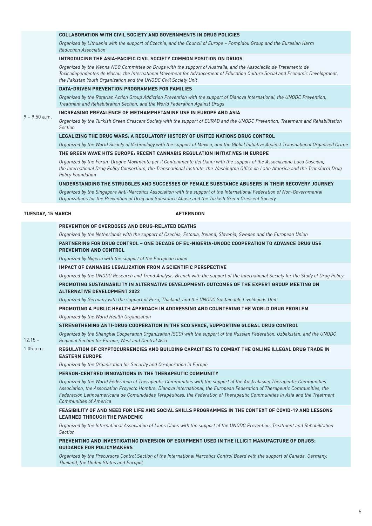#### **COLLABORATION WITH CIVIL SOCIETY AND GOVERNMENTS IN DRUG POLICIES**

*Organized by Lithuania with the support of Czechia, and the Council of Europe – Pompidou Group and the Eurasian Harm Reduction Association*

#### **INTRODUCING THE ASIA-PACIFIC CIVIL SOCIETY COMMON POSITION ON DRUGS**

*Organized by the Vienna NGO Committee on Drugs with the support of Australia, and the Associação de Tratamento de Toxicodependentes de Macau, the International Movement for Advancement of Education Culture Social and Economic Development, the Pakistan Youth Organization and the UNODC Civil Society Unit*

#### **DATA-DRIVEN PREVENTION PROGRAMMES FOR FAMILIES**

*Organized by the Rotarian Action Group Addiction Prevention with the support of Dianova International, the UNODC Prevention, Treatment and Rehabilitation Section, and the World Federation Against Drugs*

#### $9 - 9.50$  a.m. **INCREASING PREVALENCE OF METHAMPHETAMINE USE IN EUROPE AND ASIA**

*Organized by the Turkish Green Crescent Society with the support of EURAD and the UNODC Prevention, Treatment and Rehabilitation Section*

#### **LEGALIZING THE DRUG WARS: A REGULATORY HISTORY OF UNITED NATIONS DRUG CONTROL**

*Organized by the World Society of Victimology with the support of Mexico, and the Global Initiative Against Transnational Organized Crime*

#### **THE GREEN WAVE HITS EUROPE: RECENT CANNABIS REGULATION INITIATIVES IN EUROPE**

*Organized by the Forum Droghe Movimento per il Contenimento dei Danni with the support of the Associazione Luca Coscioni, the International Drug Policy Consortium, the Transnational Institute, the Washington Office on Latin America and the Transform Drug Policy Foundation*

#### **UNDERSTANDING THE STRUGGLES AND SUCCESSES OF FEMALE SUBSTANCE ABUSERS IN THEIR RECOVERY JOURNEY**

*Organized by the Singapore Anti-Narcotics Association with the support of the International Federation of Non-Governmental Organizations for the Prevention of Drug and Substance Abuse and the Turkish Green Crescent Society*

#### **TUESDAY, 15 MARCH AFTERNOON**

 $12.15 -$ 

| <u>FILE TENTION OF OVERDOJEJ AND DROG REEATED DEATHS</u>                                                            |  |
|---------------------------------------------------------------------------------------------------------------------|--|
| Organized by the Netherlands with the support of Czechia, Estonia, Ireland, Slovenia, Sweden and the European Union |  |

#### **PARTNERING FOR DRUG CONTROL – ONE DECADE OF EU-NIGERIA-UNODC COOPERATION TO ADVANCE DRUG USE PREVENTION AND CONTROL**

*Organized by Nigeria with the support of the European Union*

**PREVENTION OF OVERDOSES AND DRUG-RELATED DEATHS**

#### **IMPACT OF CANNABIS LEGALIZATION FROM A SCIENTIFIC PERSPECTIVE**

*Organized by the UNODC Research and Trend Analysis Branch with the support of the International Society for the Study of Drug Policy*

#### **PROMOTING SUSTAINABILITY IN ALTERNATIVE DEVELOPMENT: OUTCOMES OF THE EXPERT GROUP MEETING ON ALTERNATIVE DEVELOPMENT 2022**

*Organized by Germany with the support of Peru, Thailand, and the UNODC Sustainable Livelihoods Unit* 

## **PROMOTING A PUBLIC HEALTH APPROACH IN ADDRESSING AND COUNTERING THE WORLD DRUG PROBLEM**

*Organized by the World Health Organization*

#### **STRENGTHENING ANTI-DRUG COOPERATION IN THE SCO SPACE, SUPPORTING GLOBAL DRUG CONTROL**

*Organized by the Shanghai Cooperation Organization (SCO) with the support of the Russian Federation, Uzbekistan, and the UNODC Regional Section for Europe, West and Central Asia*

#### 1.05 p.m. **REGULATION OF CRYPTOCURRENCIES AND BUILDING CAPACITIES TO COMBAT THE ONLINE ILLEGAL DRUG TRADE IN EASTERN EUROPE**

*Organized by the Organization for Security and Co-operation in Europe*

#### **PERSON-CENTRED INNOVATIONS IN THE THERAPEUTIC COMMUNITY**

*Organized by the World Federation of Therapeutic Communities with the support of the Australasian Therapeutic Communities Association, the Association Proyecto Hombre, Dianova International, the European Federation of Therapeutic Communities, the Federación Latinoamericana de Comunidades Terapéuticas, the Federation of Therapeutic Communities in Asia and the Treatment Communities of America*

#### **FEASIBILITY OF AND NEED FOR LIFE AND SOCIAL SKILLS PROGRAMMES IN THE CONTEXT OF COVID-19 AND LESSONS LEARNED THROUGH THE PANDEMIC**

*Organized by the International Association of Lions Clubs with the support of the UNODC Prevention, Treatment and Rehabilitation Section*

#### **PREVENTING AND INVESTIGATING DIVERSION OF EQUIPMENT USED IN THE ILLICIT MANUFACTURE OF DRUGS: GUIDANCE FOR POLICYMAKERS**

*Organized by the Precursors Control Section of the International Narcotics Control Board with the support of Canada, Germany, Thailand, the United States and Europol*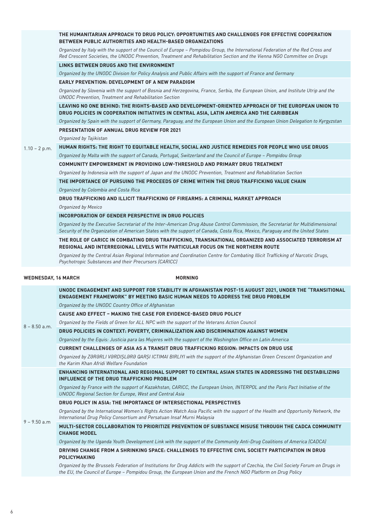|                     | THE HUMANITARIAN APPROACH TO DRUG POLICY: OPPORTUNITIES AND CHALLENGES FOR EFFECTIVE COOPERATION<br><b>BETWEEN PUBLIC AUTHORITIES AND HEALTH-BASED ORGANIZATIONS</b>                                                                                               |
|---------------------|--------------------------------------------------------------------------------------------------------------------------------------------------------------------------------------------------------------------------------------------------------------------|
|                     | Organized by Italy with the support of the Council of Europe - Pompidou Group, the International Federation of the Red Cross and<br>Red Crescent Societies, the UNODC Prevention, Treatment and Rehabilitation Section and the Vienna NGO Committee on Drugs       |
|                     | LINKS BETWEEN DRUGS AND THE ENVIRONMENT                                                                                                                                                                                                                            |
|                     | Organized by the UNODC Division for Policy Analysis and Public Affairs with the support of France and Germany                                                                                                                                                      |
|                     | <b>EARLY PREVENTION: DEVELOPMENT OF A NEW PARADIGM</b>                                                                                                                                                                                                             |
|                     | Organized by Slovenia with the support of Bosnia and Herzegovina, France, Serbia, the European Union, and Institute Utrip and the<br><b>UNODC</b> Prevention, Treatment and Rehabilitation Section                                                                 |
|                     | LEAVING NO ONE BEHIND: THE RIGHTS-BASED AND DEVELOPMENT-ORIENTED APPROACH OF THE EUROPEAN UNION TO<br>DRUG POLICIES IN COOPERATION INITIATIVES IN CENTRAL ASIA, LATIN AMERICA AND THE CARIBBEAN                                                                    |
|                     | Organized by Spain with the support of Germany, Paraguay, and the European Union and the European Union Delegation to Kyrgyzstan                                                                                                                                   |
|                     | <b>PRESENTATION OF ANNUAL DRUG REVIEW FOR 2021</b>                                                                                                                                                                                                                 |
|                     | Organized by Tajikistan                                                                                                                                                                                                                                            |
| $1.10 - 2 p.m.$     | HUMAN RIGHTS: THE RIGHT TO EQUITABLE HEALTH, SOCIAL AND JUSTICE REMEDIES FOR PEOPLE WHO USE DRUGS                                                                                                                                                                  |
|                     | Organized by Malta with the support of Canada, Portugal, Switzerland and the Council of Europe - Pompidou Group                                                                                                                                                    |
|                     | COMMUNITY EMPOWERMENT IN PROVIDING LOW-THRESHOLD AND PRIMARY DRUG TREATMENT                                                                                                                                                                                        |
|                     | Organized by Indonesia with the support of Japan and the UNODC Prevention, Treatment and Rehabilitation Section                                                                                                                                                    |
|                     | THE IMPORTANCE OF PURSUING THE PROCEEDS OF CRIME WITHIN THE DRUG TRAFFICKING VALUE CHAIN                                                                                                                                                                           |
|                     | Organized by Colombia and Costa Rica                                                                                                                                                                                                                               |
|                     | DRUG TRAFFICKING AND ILLICIT TRAFFICKING OF FIREARMS: A CRIMINAL MARKET APPROACH                                                                                                                                                                                   |
|                     | Organized by Mexico                                                                                                                                                                                                                                                |
|                     | <b>INCORPORATION OF GENDER PERSPECTIVE IN DRUG POLICIES</b>                                                                                                                                                                                                        |
|                     | Organized by the Executive Secretariat of the Inter-American Drug Abuse Control Commission, the Secretariat for Multidimensional<br>Security of the Organization of American States with the support of Canada, Costa Rica, Mexico, Paraguay and the United States |
|                     | THE ROLE OF CARICC IN COMBATING DRUG TRAFFICKING, TRANSNATIONAL ORGANIZED AND ASSOCIATED TERRORISM AT<br>REGIONAL AND INTERREGIONAL LEVELS WITH PARTICULAR FOCUS ON THE NORTHERN ROUTE                                                                             |
|                     | Organized by the Central Asian Regional Information and Coordination Centre for Combating Illicit Trafficking of Narcotic Drugs,<br>Psychotropic Substances and their Precursors (CARICC)                                                                          |
|                     |                                                                                                                                                                                                                                                                    |
| WEDNESDAY, 16 MARCH | <b>MORNING</b>                                                                                                                                                                                                                                                     |
|                     | UNODC ENGAGEMENT AND SUPPORT FOR STABILITY IN AFGHANISTAN POST-15 AUGUST 2021, UNDER THE "TRANSITIONAL<br>ENGAGEMENT FRAMEWORK" BY MEETING BASIC HUMAN NEEDS TO ADDRESS THE DRUG PROBLEM                                                                           |
|                     | Organized by the UNODC Country Office of Afghanistan                                                                                                                                                                                                               |
|                     | <b>CAUSE AND EFFECT - MAKING THE CASE FOR EVIDENCE-BASED DRUG POLICY</b>                                                                                                                                                                                           |
| $8 - 8.50$ a.m.     | Organized by the Fields of Green for ALL NPC with the support of the Veterans Action Council                                                                                                                                                                       |
|                     | DRUG POLICIES IN CONTEXT: POVERTY, CRIMINALIZATION AND DISCRIMINATION AGAINST WOMEN                                                                                                                                                                                |
|                     | Organized by the Equis: Justicia para las Mujeres with the support of the Washington Office on Latin America                                                                                                                                                       |
|                     | CURRENT CHALLENGES OF ASIA AS A TRANSIT DRUG TRAFFICKING REGION: IMPACTS ON DRUG USE                                                                                                                                                                               |
|                     | Organized by ZƏRƏRLI VƏRDIŞLƏRƏ QARŞI ICTIMAI BIRLIYI with the support of the Afghanistan Green Crescent Organization and<br>the Karim Khan Afridi Welfare Foundation                                                                                              |
|                     | ENHANCING INTERNATIONAL AND REGIONAL SUPPORT TO CENTRAL ASIAN STATES IN ADDRESSING THE DESTABILIZING<br><b>INFLUENCE OF THE DRUG TRAFFICKING PROBLEM</b>                                                                                                           |
|                     | Organized by France with the support of Kazakhstan, CARICC, the European Union, INTERPOL and the Paris Pact Initiative of the<br><b>UNODC Regional Section for Europe, West and Central Asia</b>                                                                   |
|                     | DRUG POLICY IN ASIA: THE IMPORTANCE OF INTERSECTIONAL PERSPECTIVES                                                                                                                                                                                                 |
|                     | Organized by the International Women's Rights Action Watch Asia Pacific with the support of the Health and Opportunity Network, the<br>International Drug Policy Consortium and Persatuan Insaf Murni Malaysia                                                     |
| $9 - 9.50$ a.m      | MULTI-SECTOR COLLABORATION TO PRIORITIZE PREVENTION OF SUBSTANCE MISUSE THROUGH THE CADCA COMMUNITY<br><b>CHANGE MODEL</b>                                                                                                                                         |
|                     | Organized by the Uganda Youth Development Link with the support of the Community Anti-Drug Coalitions of America (CADCA)                                                                                                                                           |
|                     | DRIVING CHANGE FROM A SHRINKING SPACE: CHALLENGES TO EFFECTIVE CIVIL SOCIETY PARTICIPATION IN DRUG<br>POLICYMAKING                                                                                                                                                 |

*Organized by the Brussels Federation of Institutions for Drug Addicts with the support of Czechia, the Civil Society Forum on Drugs in the EU, the Council of Europe – Pompidou Group, the European Union and the French NGO Platform on Drug Policy*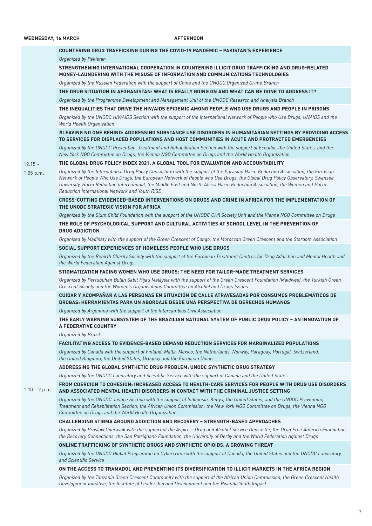|                 | COUNTERING DRUG TRAFFICKING DURING THE COVID-19 PANDEMIC - PAKISTAN'S EXPERIENCE                                                                                                                                                                                                                                                                                                                                                             |
|-----------------|----------------------------------------------------------------------------------------------------------------------------------------------------------------------------------------------------------------------------------------------------------------------------------------------------------------------------------------------------------------------------------------------------------------------------------------------|
|                 | Organized by Pakistan                                                                                                                                                                                                                                                                                                                                                                                                                        |
|                 |                                                                                                                                                                                                                                                                                                                                                                                                                                              |
|                 | STRENGTHENING INTERNATIONAL COOPERATION IN COUNTERING ILLICIT DRUG TRAFFICKING AND DRUG-RELATED<br>MONEY-LAUNDERING WITH THE MISUSE OF INFORMATION AND COMMUNICATIONS TECHNOLOGIES                                                                                                                                                                                                                                                           |
|                 | Organized by the Russian Federation with the support of China and the UNODC Organized Crime Branch                                                                                                                                                                                                                                                                                                                                           |
|                 | THE DRUG SITUATION IN AFGHANISTAN: WHAT IS REALLY GOING ON AND WHAT CAN BE DONE TO ADDRESS IT?                                                                                                                                                                                                                                                                                                                                               |
|                 | Organized by the Programme Development and Management Unit of the UNODC Research and Analysis Branch                                                                                                                                                                                                                                                                                                                                         |
|                 | THE INEQUALITIES THAT DRIVE THE HIV/AIDS EPIDEMIC AMONG PEOPLE WHO USE DRUGS AND PEOPLE IN PRISONS                                                                                                                                                                                                                                                                                                                                           |
|                 | Organized by the UNODC HIV/AIDS Section with the support of the International Network of People who Use Drugs, UNAIDS and the<br>World Health Organization                                                                                                                                                                                                                                                                                   |
|                 | #LEAVING NO ONE BEHIND: ADDRESSING SUBSTANCE USE DISORDERS IN HUMANITARIAN SETTINGS BY PROVIDING ACCESS<br>TO SERVICES FOR DISPLACED POPULATIONS AND HOST COMMUNITIES IN ACUTE AND PROTRACTED EMERGENCIES                                                                                                                                                                                                                                    |
|                 | Organized by the UNODC Prevention, Treatment and Rehabilitation Section with the support of Ecuador, the United States, and the<br>New York NGO Committee on Drugs, the Vienna NGO Committee on Drugs and the World Health Organization                                                                                                                                                                                                      |
| $12.15 -$       | THE GLOBAL DRUG POLICY INDEX 2021: A GLOBAL TOOL FOR EVALUATION AND ACCOUNTABILITY                                                                                                                                                                                                                                                                                                                                                           |
| 1.05 p.m.       | Organized by the International Drug Policy Consortium with the support of the Eurasian Harm Reduction Association, the Eurasian<br>Network of People Who Use Drugs, the European Network of People who Use Drugs, the Global Drug Policy Observatory, Swansea<br>University, Harm Reduction International, the Middle East and North Africa Harm Reduction Association, the Women and Harm<br>Reduction International Network and Youth RISE |
|                 | CROSS-CUTTING EVIDENCED-BASED INTERVENTIONS ON DRUGS AND CRIME IN AFRICA FOR THE IMPLEMENTATION OF<br>THE UNODC STRATEGIC VISION FOR AFRICA                                                                                                                                                                                                                                                                                                  |
|                 | Organized by the Slum Child Foundation with the support of the UNODC Civil Society Unit and the Vienna NGO Committee on Drugs                                                                                                                                                                                                                                                                                                                |
|                 | THE ROLE OF PSYCHOLOGICAL SUPPORT AND CULTURAL ACTIVITIES AT SCHOOL LEVEL IN THE PREVENTION OF<br><b>DRUG ADDICTION</b>                                                                                                                                                                                                                                                                                                                      |
|                 | Organized by Madinaty with the support of the Green Crescent of Congo, the Moroccan Green Crescent and the Stardom Association                                                                                                                                                                                                                                                                                                               |
|                 | SOCIAL SUPPORT EXPERIENCES OF HOMELESS PEOPLE WHO USE DRUGS                                                                                                                                                                                                                                                                                                                                                                                  |
|                 | Organized by the Rebirth Charity Society with the support of the European Treatment Centres for Drug Addiction and Mental Health and<br>the World Federation Against Drugs                                                                                                                                                                                                                                                                   |
|                 | STIGMATIZATION FACING WOMEN WHO USE DRUGS: THE NEED FOR TAILOR-MADE TREATMENT SERVICES                                                                                                                                                                                                                                                                                                                                                       |
|                 | Organized by Pertubuhan Bulan Sabit Hijau Malaysia with the support of the Green Crescent Foundation (Maldives), the Turkish Green<br>Crescent Society and the Women's Organisations Committee on Alcohol and Drugs Issues                                                                                                                                                                                                                   |
|                 | CUIDAR Y ACOMPAÑAR A LAS PERSONAS EN SITUACIÓN DE CALLE ATRAVESADAS POR CONSUMOS PROBLEMÁTICOS DE<br>DROGAS: HERRAMIENTAS PARA UN ABORDAJE DESDE UNA PERSPECTIVA DE DERECHOS HUMANOS                                                                                                                                                                                                                                                         |
|                 | Organized by Argentina with the support of the Intercambios Civil Association                                                                                                                                                                                                                                                                                                                                                                |
|                 | THE EARLY WARNING SUBSYSTEM OF THE BRAZILIAN NATIONAL SYSTEM OF PUBLIC DRUG POLICY – AN INNOVATION OF<br>A FEDERATIVE COUNTRY                                                                                                                                                                                                                                                                                                                |
|                 | Organized by Brazil                                                                                                                                                                                                                                                                                                                                                                                                                          |
|                 | FACILITATING ACCESS TO EVIDENCE-BASED DEMAND REDUCTION SERVICES FOR MARGINALIZED POPULATIONS                                                                                                                                                                                                                                                                                                                                                 |
|                 | Organized by Canada with the support of Finland, Malta, Mexico, the Netherlands, Norway, Paraguay, Portugal, Switzerland,<br>the United Kingdom, the United States, Uruguay and the European Union                                                                                                                                                                                                                                           |
|                 | ADDRESSING THE GLOBAL SYNTHETIC DRUG PROBLEM: UNODC SYNTHETIC DRUG STRATEGY                                                                                                                                                                                                                                                                                                                                                                  |
|                 | Organized by the UNODC Laboratory and Scientific Service with the support of Canada and the United States                                                                                                                                                                                                                                                                                                                                    |
| $1.10 - 2 p.m.$ | FROM COERCION TO COHESION: INCREASED ACCESS TO HEALTH-CARE SERVICES FOR PEOPLE WITH DRUG USE DISORDERS<br>AND ASSOCIATED MENTAL HEALTH DISORDERS IN CONTACT WITH THE CRIMINAL JUSTICE SETTING                                                                                                                                                                                                                                                |
|                 | Organized by the UNODC Justice Section with the support of Indonesia, Kenya, the United States, and the UNODC Prevention,<br>Treatment and Rehabilitation Section, the African Union Commission, the New York NGO Committee on Drugs, the Vienna NGO<br>Committee on Drugs and the World Health Organization                                                                                                                                 |
|                 | <b>CHALLENGING STIGMA AROUND ADDICTION AND RECOVERY - STRENGTH-BASED APPROACHES</b>                                                                                                                                                                                                                                                                                                                                                          |
|                 | Organized by Proslavi Oporavak with the support of the Aspire - Drug and Alcohol Service Doncaster, the Drug Free America Foundation,<br>the Recovery Connections, the San Patrignano Foundation, the University of Derby and the World Federation Against Drugs                                                                                                                                                                             |
|                 | ONLINE TRAFFICKING OF SYNTHETIC DRUGS AND SYNTHETIC OPIOIDS: A GROWING THREAT                                                                                                                                                                                                                                                                                                                                                                |
|                 | Organized by the UNODC Global Programme on Cybercrime with the support of Canada, the United States and the UNODC Laboratory<br>and Scientific Service                                                                                                                                                                                                                                                                                       |
|                 | ON THE ACCESS TO TRAMADOL AND PREVENTING ITS DIVERSIFICATION TO ILLICIT MARKETS IN THE AFRICA REGION                                                                                                                                                                                                                                                                                                                                         |
|                 | Organized by the Tanzania Green Crescent Community with the support of the African Union Commission, the Green Crescent Health                                                                                                                                                                                                                                                                                                               |

*Development Initiative, the Institute of Leadership and Development and the Rwanda Youth Impact*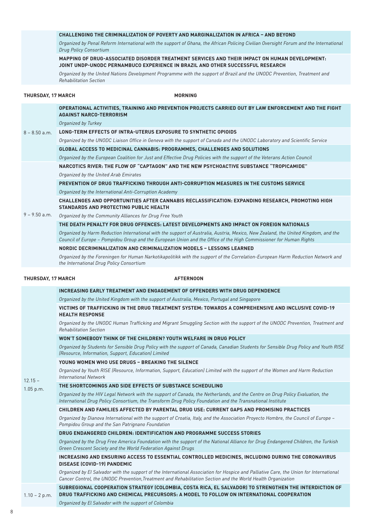#### **CHALLENGING THE CRIMINALIZATION OF POVERTY AND MARGINALIZATION IN AFRICA – AND BEYOND**

*Organized by Penal Reform International with the support of Ghana, the African Policing Civilian Oversight Forum and the International Drug Policy Consortium*

#### **MAPPING OF DRUG-ASSOCIATED DISORDER TREATMENT SERVICES AND THEIR IMPACT ON HUMAN DEVELOPMENT: JOINT UNDP-UNODC PERNAMBUCO EXPERIENCE IN BRAZIL AND OTHER SUCCESSFUL RESEARCH**

*Organized by the United Nations Development Programme with the support of Brazil and the UNODC Prevention, Treatment and Rehabilitation Section*

#### THURSDAY, 17 MARCH MORNING

|                           | OPERATIONAL ACTIVITIES, TRAINING AND PREVENTION PROJECTS CARRIED OUT BY LAW ENFORCEMENT AND THE FIGHT<br><b>AGAINST NARCO-TERRORISM</b>                                                                                                                  |
|---------------------------|----------------------------------------------------------------------------------------------------------------------------------------------------------------------------------------------------------------------------------------------------------|
| $8 - 8.50$ a.m.           | Organized by Turkey                                                                                                                                                                                                                                      |
|                           | LONG-TERM EFFECTS OF INTRA-UTERUS EXPOSURE TO SYNTHETIC OPIOIDS                                                                                                                                                                                          |
|                           | Organized by the UNODC Liaison Office in Geneva with the support of Canada and the UNODC Laboratory and Scientific Service                                                                                                                               |
|                           | GLOBAL ACCESS TO MEDICINAL CANNABIS: PROGRAMMES, CHALLENGES AND SOLUTIONS                                                                                                                                                                                |
|                           | Organized by the European Coalition for Just and Effective Drug Policies with the support of the Veterans Action Council                                                                                                                                 |
|                           | <b>NARCOTICS RIVER: THE FLOW OF "CAPTAGON" AND THE NEW PSYCHOACTIVE SUBSTANCE "TROPICAMIDE"</b>                                                                                                                                                          |
|                           | Organized by the United Arab Emirates                                                                                                                                                                                                                    |
|                           | PREVENTION OF DRUG TRAFFICKING THROUGH ANTI-CORRUPTION MEASURES IN THE CUSTOMS SERVICE                                                                                                                                                                   |
|                           | Organized by the International Anti-Corruption Academy                                                                                                                                                                                                   |
|                           | CHALLENGES AND OPPORTUNITIES AFTER CANNABIS RECLASSIFICATION: EXPANDING RESEARCH, PROMOTING HIGH<br><b>STANDARDS AND PROTECTING PUBLIC HEALTH</b>                                                                                                        |
| $9 - 9.50$ a.m.           | Organized by the Community Alliances for Drug Free Youth                                                                                                                                                                                                 |
|                           | THE DEATH PENALTY FOR DRUG OFFENCES: LATEST DEVELOPMENTS AND IMPACT ON FOREIGN NATIONALS                                                                                                                                                                 |
|                           | Organized by Harm Reduction International with the support of Australia, Austria, Mexico, New Zealand, the United Kingdom, and the<br>Council of Europe - Pompidou Group and the European Union and the Office of the High Commissioner for Human Rights |
|                           | NORDIC DECRIMINALIZATION AND CRIMINALIZATION MODELS - LESSONS LEARNED                                                                                                                                                                                    |
|                           | Organized by the Foreningen for Human Narkotikapolitikk with the support of the Correlation-European Harm Reduction Network and<br>the International Drug Policy Consortium                                                                              |
| <b>THURSDAY, 17 MARCH</b> | <b>AFTERNOON</b>                                                                                                                                                                                                                                         |
|                           | INCREASING EARLY TREATMENT AND ENGAGEMENT OF OFFENDERS WITH DRUG DEPENDENCE                                                                                                                                                                              |
|                           | Organized by the United Kingdom with the support of Australia, Mexico, Portugal and Singapore                                                                                                                                                            |
|                           | VICTIMS OF TRAFFICKING IN THE DRUG TREATMENT SYSTEM: TOWARDS A COMPREHENSIVE AND INCLUSIVE COVID-19<br><b>HEALTH RESPONSE</b>                                                                                                                            |
|                           | Organized by the UNODC Human Trafficking and Migrant Smuggling Section with the support of the UNODC Prevention, Treatment and<br><b>Rehabilitation Section</b>                                                                                          |
|                           | WON'T SOMEBODY THINK OF THE CHILDREN? YOUTH WELFARE IN DRUG POLICY                                                                                                                                                                                       |
|                           | Organized by Students for Sensible Drug Policy with the support of Canada, Canadian Students for Sensible Drug Policy and Youth RISE<br>(Resource, Information, Support, Education) Limited                                                              |
|                           | YOUNG WOMEN WHO USE DRUGS - BREAKING THE SILENCE                                                                                                                                                                                                         |
| $12.15 -$                 | Organized by Youth RISE (Resource, Information, Support, Education) Limited with the support of the Women and Harm Reduction<br><b>International Network</b>                                                                                             |
| 1.05 p.m.                 | THE SHORTCOMINGS AND SIDE EFFECTS OF SUBSTANCE SCHEDULING                                                                                                                                                                                                |
|                           | Organized by the HIV Legal Network with the support of Canada, the Netherlands, and the Centre on Drug Policy Evaluation, the<br>International Drug Policy Consortium, the Transform Drug Policy Foundation and the Transnational Institute              |
|                           | CHILDREN AND FAMILIES AFFECTED BY PARENTAL DRUG USE: CURRENT GAPS AND PROMISING PRACTICES                                                                                                                                                                |
|                           | Organized by Dianova International with the support of Croatia, Italy, and the Association Proyecto Hombre, the Council of Europe -<br>Pompidou Group and the San Patrignano Foundation                                                                  |
|                           | DRUG ENDANGERED CHILDREN: IDENTIFICATION AND PROGRAMME SUCCESS STORIES                                                                                                                                                                                   |
|                           | Organized by the Drug Free America Foundation with the support of the National Alliance for Drug Endangered Children, the Turkish<br>Green Crescent Society and the World Federation Against Drugs                                                       |
|                           | INCREASING AND ENSURING ACCESS TO ESSENTIAL CONTROLLED MEDICINES, INCLUDING DURING THE CORONAVIRUS<br><b>DISEASE (COVID-19) PANDEMIC</b>                                                                                                                 |
|                           | Organized by El Salvador with the support of the International Association for Hospice and Palliative Care, the Union for International<br>Cancer Control, the UNODC Prevention, Treatment and Rehabilitation Section and the World Health Organization  |
| $1.10 - 2 p.m.$           | SUBREGIONAL COOPERATION STRATEGY (COLOMBIA, COSTA RICA, EL SALVADOR) TO STRENGTHEN THE INTERDICTION OF<br>DRUG TRAFFICKING AND CHEMICAL PRECURSORS: A MODEL TO FOLLOW ON INTERNATIONAL COOPERATION                                                       |
|                           | Organized by El Salvador with the support of Colombia                                                                                                                                                                                                    |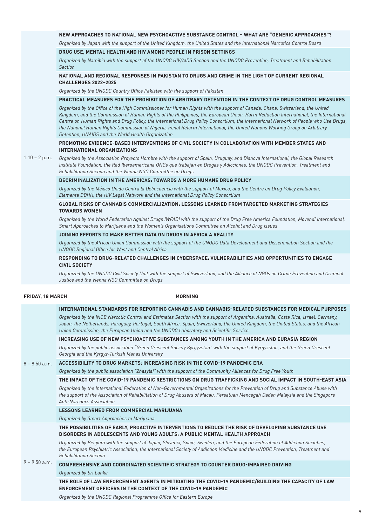#### **NEW APPROACHES TO NATIONAL NEW PSYCHOACTIVE SUBSTANCE CONTROL – WHAT ARE "GENERIC APPROACHES"?**

*Organized by Japan with the support of the United Kingdom, the United States and the International Narcotics Control Board*

#### **DRUG USE, MENTAL HEALTH AND HIV AMONG PEOPLE IN PRISON SETTINGS**

*Organized by Namibia with the support of the UNODC HIV/AIDS Section and the UNODC Prevention, Treatment and Rehabilitation Section*

#### **NATIONAL AND REGIONAL RESPONSES IN PAKISTAN TO DRUGS AND CRIME IN THE LIGHT OF CURRENT REGIONAL CHALLENGES 2022–2025**

*Organized by the UNODC Country Office Pakistan with the support of Pakistan*

#### **PRACTICAL MEASURES FOR THE PROHIBITION OF ARBITRARY DETENTION IN THE CONTEXT OF DRUG CONTROL MEASURES**

*Organized by the Office of the High Commissioner for Human Rights with the support of Canada, Ghana, Switzerland, the United Kingdom, and the Commission of Human Rights of the Philippines, the European Union, Harm Reduction International, the International Centre on Human Rights and Drug Policy, the International Drug Policy Consortium, the International Network of People who Use Drugs, the National Human Rights Commission of Nigeria, Penal Reform International, the United Nations Working Group on Arbitrary Detention, UNAIDS and the World Health Organization*

#### **PROMOTING EVIDENCE-BASED INTERVENTIONS OF CIVIL SOCIETY IN COLLABORATION WITH MEMBER STATES AND INTERNATIONAL ORGANIZATIONS**

 $1.10 - 2 p.m.$ 

*Organized by the Association Proyecto Hombre with the support of Spain, Uruguay, and Dianova International, the Global Research Institute Foundation, the Red Iberoamericana ONGs que trabajan en Drogas y Adicciones, the UNODC Prevention, Treatment and Rehabilitation Section and the Vienna NGO Committee on Drugs*

#### **DECRIMINALIZATION IN THE AMERICAS: TOWARDS A MORE HUMANE DRUG POLICY**

*Organized by the México Unido Contra la Delincuencia with the support of Mexico, and the Centre on Drug Policy Evaluation, Elementa DDHH, the HIV Legal Network and the International Drug Policy Consortium*

#### **GLOBAL RISKS OF CANNABIS COMMERCIALIZATION: LESSONS LEARNED FROM TARGETED MARKETING STRATEGIES TOWARDS WOMEN**

*Organized by the World Federation Against Drugs (WFAD) with the support of the Drug Free America Foundation, Movendi International, Smart Approaches to Marijuana and the Women's Organisations Committee on Alcohol and Drug Issues*

#### **JOINING EFFORTS TO MAKE BETTER DATA ON DRUGS IN AFRICA A REALITY**

*Organized by the African Union Commission with the support of the UNODC Data Development and Dissemination Section and the UNODC Regional Office for West and Central Africa*

#### **RESPONDING TO DRUG-RELATED CHALLENGES IN CYBERSPACE: VULNERABILITIES AND OPPORTUNITIES TO ENGAGE CIVIL SOCIETY**

*Organized by the UNODC Civil Society Unit with the support of Switzerland, and the Alliance of NGOs on Crime Prevention and Criminal Justice and the Vienna NGO Committee on Drugs*

#### **FRIDAY, 18 MARCH MORNING**

| INTERNATIONAL STANDARDS FOR REPORTING CANNABIS AND CANNABIS-RELATED SUBSTANCES FOR MEDICAL PURPOSES |  |
|-----------------------------------------------------------------------------------------------------|--|
|                                                                                                     |  |

*Organized by the INCB Narcotic Control and Estimates Section with the support of Argentina, Australia, Costa Rica, Israel, Germany, Japan, the Netherlands, Paraguay, Portugal, South Africa, Spain, Switzerland, the United Kingdom, the United States, and the African Union Commission, the European Union and the UNODC Laboratory and Scientific Service*

#### **INCREASING USE OF NEW PSYCHOACTIVE SUBSTANCES AMONG YOUTH IN THE AMERICA AND EURASIA REGION**

*Organized by the public association "Green Crescent Society Kyrgyzstan" with the support of Kyrgyzstan, and the Green Crescent Georgia and the Kyrgyz-Turkish Manas University*

#### 8 – 8.50 a.m. **ACCESSIBILITY TO DRUG MARKETS: INCREASING RISK IN THE COVID-19 PANDEMIC ERA**

*Organized by the public association "Zhasylai" with the support of the Community Alliances for Drug Free Youth*

#### **THE IMPACT OF THE COVID-19 PANDEMIC RESTRICTIONS ON DRUG TRAFFICKING AND SOCIAL IMPACT IN SOUTH-EAST ASIA**

*Organized by the International Federation of Non-Governmental Organizations for the Prevention of Drug and Substance Abuse with the support of the Association of Rehabilitation of Drug Abusers of Macau, Persatuan Mencegah Dadah Malaysia and the Singapore Anti-Narcotics Association*

#### **LESSONS LEARNED FROM COMMERCIAL MARIJUANA**

*Organized by Smart Approaches to Marijuana*

#### **THE POSSIBILITIES OF EARLY, PROACTIVE INTERVENTIONS TO REDUCE THE RISK OF DEVELOPING SUBSTANCE USE DISORDERS IN ADOLESCENTS AND YOUNG ADULTS: A PUBLIC MENTAL HEALTH APPROACH**

*Organized by Belgium with the support of Japan, Slovenia, Spain, Sweden, and the European Federation of Addiction Societies, the European Psychiatric Association, the International Society of Addiction Medicine and the UNODC Prevention, Treatment and Rehabilitation Section*

#### 9 – 9.50 a.m. **COMPREHENSIVE AND COORDINATED SCIENTIFIC STRATEGY TO COUNTER DRUG-IMPAIRED DRIVING**

*Organized by Sri Lanka*

**THE ROLE OF LAW ENFORCEMENT AGENTS IN MITIGATING THE COVID-19 PANDEMIC/BUILDING THE CAPACITY OF LAW ENFORCEMENT OFFICERS IN THE CONTEXT OF THE COVID-19 PANDEMIC** 

*Organized by the UNODC Regional Programme Office for Eastern Europe*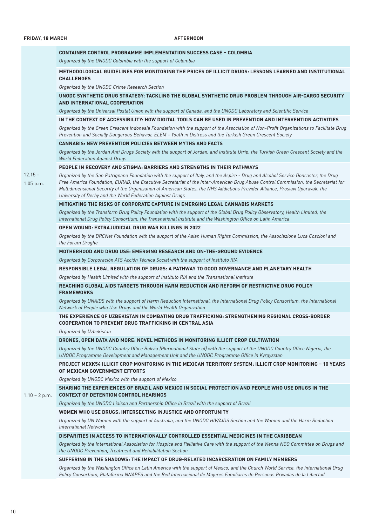| $12.15 -$<br>1.05 p.m. | <b>CONTAINER CONTROL PROGRAMME IMPLEMENTATION SUCCESS CASE - COLOMBIA</b>                                                                                                                                                                                                                                                                                                                                                                                                 |
|------------------------|---------------------------------------------------------------------------------------------------------------------------------------------------------------------------------------------------------------------------------------------------------------------------------------------------------------------------------------------------------------------------------------------------------------------------------------------------------------------------|
|                        | Organized by the UNODC Colombia with the support of Colombia                                                                                                                                                                                                                                                                                                                                                                                                              |
|                        | METHODOLOGICAL GUIDELINES FOR MONITORING THE PRICES OF ILLICIT DRUGS: LESSONS LEARNED AND INSTITUTIONAL<br><b>CHALLENGES</b>                                                                                                                                                                                                                                                                                                                                              |
|                        | Organized by the UNODC Crime Research Section                                                                                                                                                                                                                                                                                                                                                                                                                             |
|                        | UNODC SYNTHETIC DRUG STRATEGY: TACKLING THE GLOBAL SYNTHETIC DRUG PROBLEM THROUGH AIR-CARGO SECURITY<br>AND INTERNATIONAL COOPERATION                                                                                                                                                                                                                                                                                                                                     |
|                        | Organized by the Universal Postal Union with the support of Canada, and the UNODC Laboratory and Scientific Service                                                                                                                                                                                                                                                                                                                                                       |
|                        | IN THE CONTEXT OF ACCESSIBILITY: HOW DIGITAL TOOLS CAN BE USED IN PREVENTION AND INTERVENTION ACTIVITIES                                                                                                                                                                                                                                                                                                                                                                  |
|                        | Organized by the Green Crescent Indonesia Foundation with the support of the Association of Non-Profit Organizations to Facilitate Drug<br>Prevention and Socially Dangerous Behavior, ELEM - Youth in Distress and the Turkish Green Crescent Society                                                                                                                                                                                                                    |
|                        | <b>CANNABIS: NEW PREVENTION POLICIES BETWEEN MYTHS AND FACTS</b>                                                                                                                                                                                                                                                                                                                                                                                                          |
|                        | Organized by the Jordan Anti Drugs Society with the support of Jordan, and Institute Utrip, the Turkish Green Crescent Society and the<br><b>World Federation Against Drugs</b>                                                                                                                                                                                                                                                                                           |
|                        | PEOPLE IN RECOVERY AND STIGMA: BARRIERS AND STRENGTHS IN THEIR PATHWAYS                                                                                                                                                                                                                                                                                                                                                                                                   |
|                        | Organized by the San Patrignano Foundation with the support of Italy, and the Aspire - Drug and Alcohol Service Doncaster, the Drug<br>Free America Foundation, EURAD, the Executive Secretariat of the Inter-American Drug Abuse Control Commission, the Secretariat for<br>Multidimensional Security of the Organization of American States, the NHS Addictions Provider Alliance, Proslavi Oporavak, the<br>University of Derby and the World Federation Against Drugs |
|                        | MITIGATING THE RISKS OF CORPORATE CAPTURE IN EMERGING LEGAL CANNABIS MARKETS                                                                                                                                                                                                                                                                                                                                                                                              |
|                        | Organized by the Transform Drug Policy Foundation with the support of the Global Drug Policy Observatory, Health Limited, the<br>International Drug Policy Consortium, the Transnational Institute and the Washington Office on Latin America                                                                                                                                                                                                                             |
|                        | <b>OPEN WOUND: EXTRAJUDICIAL DRUG WAR KILLINGS IN 2022</b>                                                                                                                                                                                                                                                                                                                                                                                                                |
|                        | Organized by the DRCNet Foundation with the support of the Asian Human Rights Commission, the Associazione Luca Coscioni and<br>the Forum Droghe                                                                                                                                                                                                                                                                                                                          |
|                        | MOTHERHOOD AND DRUG USE: EMERGING RESEARCH AND ON-THE-GROUND EVIDENCE                                                                                                                                                                                                                                                                                                                                                                                                     |
|                        | Organized by Corporación ATS Acción Técnica Social with the support of Instituto RIA                                                                                                                                                                                                                                                                                                                                                                                      |
|                        | RESPONSIBLE LEGAL REGULATION OF DRUGS: A PATHWAY TO GOOD GOVERNANCE AND PLANETARY HEALTH                                                                                                                                                                                                                                                                                                                                                                                  |
|                        | Organized by Health Limited with the support of Instituto RIA and the Transnational Institute                                                                                                                                                                                                                                                                                                                                                                             |
|                        | REACHING GLOBAL AIDS TARGETS THROUGH HARM REDUCTION AND REFORM OF RESTRICTIVE DRUG POLICY<br><b>FRAMEWORKS</b>                                                                                                                                                                                                                                                                                                                                                            |
|                        | Organized by UNAIDS with the support of Harm Reduction International, the International Drug Policy Consortium, the International<br>Network of People who Use Drugs and the World Health Organization                                                                                                                                                                                                                                                                    |
| $1.10 - 2 p.m.$        | THE EXPERIENCE OF UZBEKISTAN IN COMBATING DRUG TRAFFICKING: STRENGTHENING REGIONAL CROSS-BORDER<br><b>COOPERATION TO PREVENT DRUG TRAFFICKING IN CENTRAL ASIA</b>                                                                                                                                                                                                                                                                                                         |
|                        | Organized by Uzbekistan                                                                                                                                                                                                                                                                                                                                                                                                                                                   |
|                        | DRONES, OPEN DATA AND MORE: NOVEL METHODS IN MONITORING ILLICIT CROP CULTIVATION                                                                                                                                                                                                                                                                                                                                                                                          |
|                        | Organized by the UNODC Country Office Bolivia (Plurinational State of) with the support of the UNODC Country Office Nigeria, the<br>UNODC Programme Development and Management Unit and the UNODC Programme Office in Kyrgyzstan                                                                                                                                                                                                                                          |
|                        | PROJECT MEXK54 ILLICIT CROP MONITORING IN THE MEXICAN TERRITORY SYSTEM: ILLICIT CROP MONITORING - 10 YEARS<br>OF MEXICAN GOVERNMENT EFFORTS                                                                                                                                                                                                                                                                                                                               |
|                        | Organized by UNODC Mexico with the support of Mexico                                                                                                                                                                                                                                                                                                                                                                                                                      |
|                        | SHARING THE EXPERIENCES OF BRAZIL AND MEXICO IN SOCIAL PROTECTION AND PEOPLE WHO USE DRUGS IN THE<br><b>CONTEXT OF DETENTION CONTROL HEARINGS</b>                                                                                                                                                                                                                                                                                                                         |
|                        | Organized by the UNODC Liaison and Partnership Office in Brazil with the support of Brazil                                                                                                                                                                                                                                                                                                                                                                                |
|                        | WOMEN WHO USE DRUGS: INTERSECTING INJUSTICE AND OPPORTUNITY                                                                                                                                                                                                                                                                                                                                                                                                               |
|                        | Organized by UN Women with the support of Australia, and the UNODC HIV/AIDS Section and the Women and the Harm Reduction<br><b>International Network</b>                                                                                                                                                                                                                                                                                                                  |
|                        | DISPARITIES IN ACCESS TO INTERNATIONALLY CONTROLLED ESSENTIAL MEDICINES IN THE CARIBBEAN                                                                                                                                                                                                                                                                                                                                                                                  |
|                        | Organized by the International Association for Hospice and Palliative Care with the support of the Vienna NGO Committee on Drugs and<br>the UNODC Prevention, Treatment and Rehabilitation Section                                                                                                                                                                                                                                                                        |
|                        | SUFFERING IN THE SHADOWS: THE IMPACT OF DRUG-RELATED INCARCERATION ON FAMILY MEMBERS                                                                                                                                                                                                                                                                                                                                                                                      |
|                        | Organized by the Washington Office on Latin America with the support of Mexico, and the Church World Service, the International Drug<br>Policy Consortium, Plataforma NNAPES and the Red Internacional de Mujeres Familiares de Personas Privadas de la Libertad                                                                                                                                                                                                          |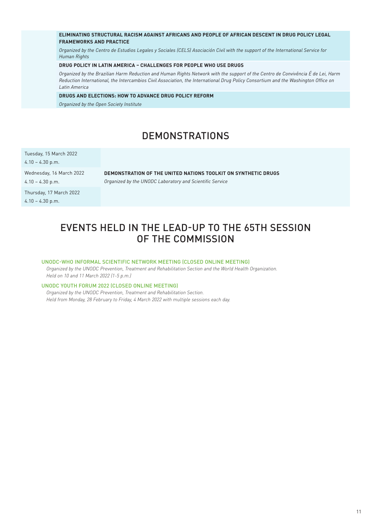#### **ELIMINATING STRUCTURAL RACISM AGAINST AFRICANS AND PEOPLE OF AFRICAN DESCENT IN DRUG POLICY LEGAL FRAMEWORKS AND PRACTICE**

*Organized by the Centro de Estudios Legales y Sociales (CELS) Asociación Civil with the support of the International Service for Human Rights*

#### **DRUG POLICY IN LATIN AMERICA – CHALLENGES FOR PEOPLE WHO USE DRUGS**

*Organized by the Brazilian Harm Reduction and Human Rights Network with the support of the Centro de Convivência É de Lei, Harm Reduction International, the Intercambios Civil Association, the International Drug Policy Consortium and the Washington Office on Latin America*

#### **DRUGS AND ELECTIONS: HOW TO ADVANCE DRUG POLICY REFORM**

*Organized by the Open Society Institute*

# DEMONSTRATIONS

Tuesday, 15 March 2022

4.10 – 4.30 p.m.

Wednesday, 16 March 2022 4.10 – 4.30 p.m.

**DEMONSTRATION OF THE UNITED NATIONS TOOLKIT ON SYNTHETIC DRUGS** *Organized by the UNODC Laboratory and Scientific Service*

Thursday, 17 March 2022 4.10 – 4.30 p.m.

# EVENTS HELD IN THE LEAD-UP TO THE 65TH SESSION OF THE COMMISSION

#### UNODC-WHO INFORMAL SCIENTIFIC NETWORK MEETING (CLOSED ONLINE MEETING)

*Organized by the UNODC Prevention, Treatment and Rehabilitation Section and the World Health Organization. Held on 10 and 11 March 2022 (1-5 p.m.)* 

#### UNODC YOUTH FORUM 2022 (CLOSED ONLINE MEETING)

*Organized by the UNODC Prevention, Treatment and Rehabilitation Section. Held from Monday, 28 February to Friday, 4 March 2022 with multiple sessions each day.*